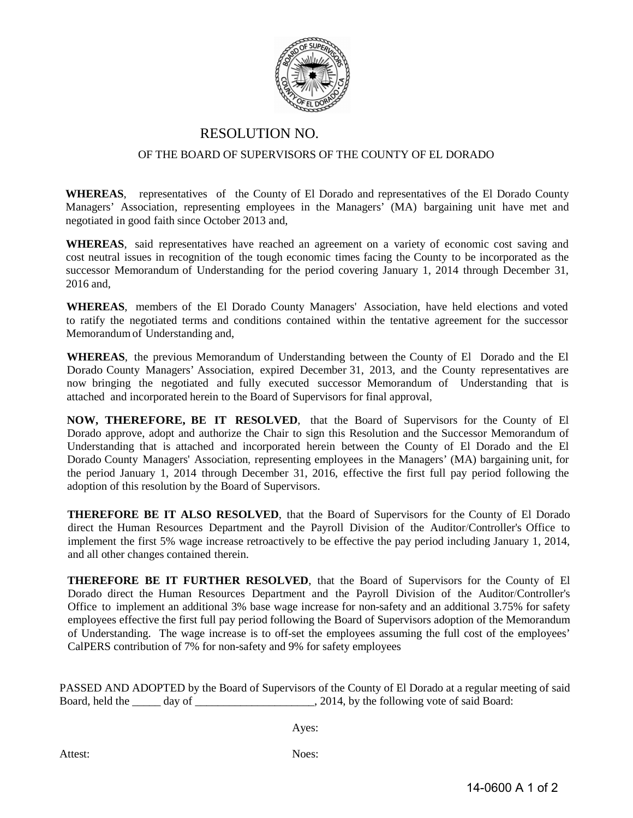

## RESOLUTION NO.

## OF THE BOARD OF SUPERVISORS OF THE COUNTY OF EL DORADO

WHEREAS, representatives of the County of El Dorado and representatives of the El Dorado County Managers' Association, representing employees in the Managers' (MA) bargaining unit have met and negotiated in good faith since October 2013 and,

**WHEREAS**, said representatives have reached an agreement on a variety of economic cost saving and cost neutral issues in recognition of the tough economic times facing the County to be incorporated as the successor Memorandum of Understanding for the period covering January 1, 2014 through December 31, 2016 and,

**WHEREAS**, members of the El Dorado County Managers' Association, have held elections and voted to ratify the negotiated terms and conditions contained within the tentative agreement for the successor Memorandum of Understanding and,

**WHEREAS**, the previous Memorandum of Understanding between the County of El Dorado and the El Dorado County Managers' Association, expired December 31, 2013, and the County representatives are now bringing the negotiated and fully executed successor Memorandum of Understanding that is attached and incorporated herein to the Board of Supervisors for final approval,

**NOW, THEREFORE, BE IT RESOLVED**, that the Board of Supervisors for the County of El Dorado approve, adopt and authorize the Chair to sign this Resolution and the Successor Memorandum of Understanding that is attached and incorporated herein between the County of El Dorado and the El Dorado County Managers' Association, representing employees in the Managers' (MA) bargaining unit, for the period January 1, 2014 through December 31, 2016, effective the first full pay period following the adoption of this resolution by the Board of Supervisors.

**THEREFORE BE IT ALSO RESOLVED**, that the Board of Supervisors for the County of El Dorado direct the Human Resources Department and the Payroll Division of the Auditor/Controller's Office to implement the first 5% wage increase retroactively to be effective the pay period including January 1, 2014, and all other changes contained therein.

**THEREFORE BE IT FURTHER RESOLVED**, that the Board of Supervisors for the County of El Dorado direct the Human Resources Department and the Payroll Division of the Auditor/Controller's Office to implement an additional 3% base wage increase for non-safety and an additional 3.75% for safety employees effective the first full pay period following the Board of Supervisors adoption of the Memorandum of Understanding. The wage increase is to off-set the employees assuming the full cost of the employees' CalPERS contribution of 7% for non-safety and 9% for safety employees

PASSED AND ADOPTED by the Board of Supervisors of the County of El Dorado at a regular meeting of said Board, held the day of  $\qquad \qquad$ , 2014, by the following vote of said Board:

Ayes:

Attest: Noes: